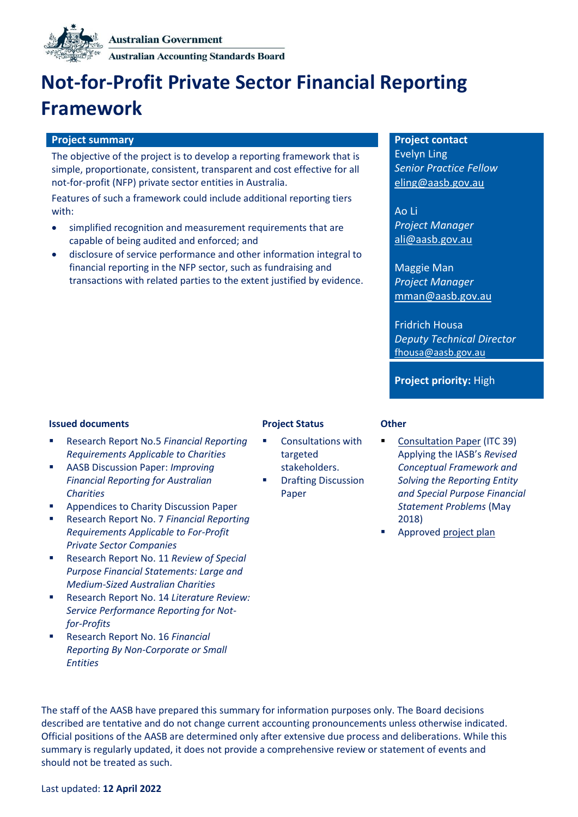

**Australian Accounting Standards Board** 

# **Not-for-Profit Private Sector Financial Reporting Framework**

#### **Project summary Project contact**

The objective of the project is to develop a reporting framework that is simple, proportionate, consistent, transparent and cost effective for all not-for-profit (NFP) private sector entities in Australia.

Features of such a framework could include additional reporting tiers with:

- simplified recognition and measurement requirements that are capable of being audited and enforced; and
- disclosure of service performance and other information integral to financial reporting in the NFP sector, such as fundraising and transactions with related parties to the extent justified by evidence.

Evelyn Ling *Senior Practice Fellow* eling@aasb.gov.au

Ao Li *Project Manager* [ali@aasb.gov.au](mailto:jbarden@aasb.gov.au)

Maggie Man *Project Manager* mman@aasb.gov.au

Fridrich Housa *Deputy Technical Director* fhousa@aasb.gov.au

**Project priority:** High

#### **Issued documents Project Status Other**

- Research Report No.5 *[Financial Reporting](http://www.aasb.gov.au/admin/file/content102/c3/AASB_RR_05_10-17.pdf)  [Requirements Applicable to Charities](http://www.aasb.gov.au/admin/file/content102/c3/AASB_RR_05_10-17.pdf)*
- AASB Discussion Paper: *[Improving](http://www.aasb.gov.au/admin/file/content102/c3/ACCDP_IFRAC_11-17.pdf)  [Financial Reporting for Australian](http://www.aasb.gov.au/admin/file/content102/c3/ACCDP_IFRAC_11-17.pdf)  [Charities](http://www.aasb.gov.au/admin/file/content102/c3/ACCDP_IFRAC_11-17.pdf)*
- Appendices to Charity Discussion Paper
- Research Report No. 7 *[Financial Reporting](https://www.aasb.gov.au/admin/file/content102/c3/AASB_RR_07_05-18.pdf)  [Requirements Applicable to For-Profit](https://www.aasb.gov.au/admin/file/content102/c3/AASB_RR_07_05-18.pdf)  [Private Sector Companies](https://www.aasb.gov.au/admin/file/content102/c3/AASB_RR_07_05-18.pdf)*
- Research Report No. 11 *Review of Special [Purpose Financial Statements: Large and](https://www.aasb.gov.au/admin/file/content102/c3/AASB_RR11_ACNCreport.pdf)  [Medium-Sized Australian Charities](https://www.aasb.gov.au/admin/file/content102/c3/AASB_RR11_ACNCreport.pdf)*
- Research Report No. 14 *[Literature Review:](https://www.aasb.gov.au/admin/file/content102/c3/AASB_RR14_LitReviewOfSPR.pdf)  [Service Performance Reporting for Not](https://www.aasb.gov.au/admin/file/content102/c3/AASB_RR14_LitReviewOfSPR.pdf)[for-Profits](https://www.aasb.gov.au/admin/file/content102/c3/AASB_RR14_LitReviewOfSPR.pdf)*
- Research Report No. 16 *[Financial](https://www.aasb.gov.au/admin/file/content102/c3/RR16_FinancialReportingByNonCorporateSmallEntities_04-21.pdf)  [Reporting By Non-Corporate or Small](https://www.aasb.gov.au/admin/file/content102/c3/RR16_FinancialReportingByNonCorporateSmallEntities_04-21.pdf)  [Entities](https://www.aasb.gov.au/admin/file/content102/c3/RR16_FinancialReportingByNonCorporateSmallEntities_04-21.pdf)*

- Consultations with targeted stakeholders.
- **Drafting Discussion** Paper

- [Consultation Paper](https://www.aasb.gov.au/admin/file/content105/c9/ITC39_05_18.pdf) (ITC 39) Applying the IASB's *Revised Conceptual Framework and Solving the Reporting Entity and Special Purpose Financial Statement Problems* (May 2018)
- Approve[d project plan](https://www.aasb.gov.au/admin/file/content102/c3/5.1_PP_NFP-private_M173.pdf)

The staff of the AASB have prepared this summary for information purposes only. The Board decisions described are tentative and do not change current accounting pronouncements unless otherwise indicated. Official positions of the AASB are determined only after extensive due process and deliberations. While this summary is regularly updated, it does not provide a comprehensive review or statement of events and should not be treated as such.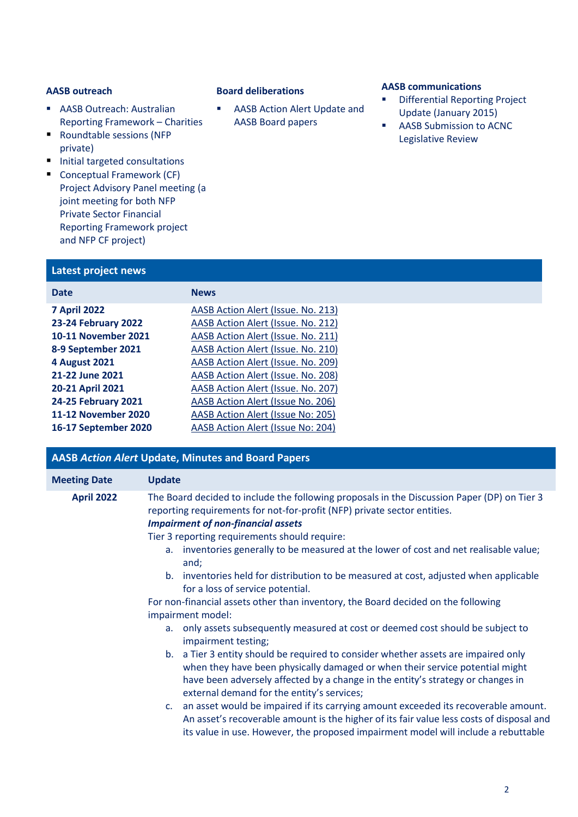- AASB Outreach: Australian [Reporting Framework](http://www.aasb.gov.au/admin/file/content102/c3/8.1_Collation_NFP_Outreach_2017_M161.pdf) – Charities
- Roundtable sessions (NFP [private\)](http://www.aasb.gov.au/admin/file/content102/c3/AASB_Roundtable_NFP_Private_Sector_Summary_1-16.pdf)
- Initial targeted consultations
- Conceptual Framework (CF) Project Advisory Panel meeting (a joint meeting for both NFP Private Sector Financial Reporting Framework project and NFP CF project)

### **Latest project news**

| <b>Date</b>          | <b>News</b>                        |
|----------------------|------------------------------------|
| <b>7 April 2022</b>  | AASB Action Alert (Issue. No. 213) |
| 23-24 February 2022  | AASB Action Alert (Issue. No. 212) |
| 10-11 November 2021  | AASB Action Alert (Issue. No. 211) |
| 8-9 September 2021   | AASB Action Alert (Issue. No. 210) |
| <b>4 August 2021</b> | AASB Action Alert (Issue. No. 209) |
| 21-22 June 2021      | AASB Action Alert (Issue. No. 208) |
| 20-21 April 2021     | AASB Action Alert (Issue. No. 207) |
| 24-25 February 2021  | AASB Action Alert (Issue No. 206)  |
| 11-12 November 2020  | AASB Action Alert (Issue No: 205)  |
| 16-17 September 2020 | AASB Action Alert (Issue No: 204)  |
|                      |                                    |

| <b>AASB Action Alert Update, Minutes and Board Papers</b> |                                                                                                                                                                                                                                                                                                     |  |
|-----------------------------------------------------------|-----------------------------------------------------------------------------------------------------------------------------------------------------------------------------------------------------------------------------------------------------------------------------------------------------|--|
| <b>Meeting Date</b>                                       | <b>Update</b>                                                                                                                                                                                                                                                                                       |  |
| <b>April 2022</b>                                         | The Board decided to include the following proposals in the Discussion Paper (DP) on Tier 3<br>reporting requirements for not-for-profit (NFP) private sector entities.<br><b>Impairment of non-financial assets</b><br>Tier 3 reporting requirements should require:                               |  |
|                                                           | a. inventories generally to be measured at the lower of cost and net realisable value;<br>and;                                                                                                                                                                                                      |  |
|                                                           | b. inventories held for distribution to be measured at cost, adjusted when applicable<br>for a loss of service potential.                                                                                                                                                                           |  |
|                                                           | For non-financial assets other than inventory, the Board decided on the following<br>impairment model:                                                                                                                                                                                              |  |
|                                                           | a. only assets subsequently measured at cost or deemed cost should be subject to<br>impairment testing;                                                                                                                                                                                             |  |
|                                                           | b. a Tier 3 entity should be required to consider whether assets are impaired only<br>when they have been physically damaged or when their service potential might<br>have been adversely affected by a change in the entity's strategy or changes in<br>external demand for the entity's services; |  |
|                                                           | c. an asset would be impaired if its carrying amount exceeded its recoverable amount.<br>An asset's recoverable amount is the higher of its fair value less costs of disposal and<br>its value in use. However, the proposed impairment model will include a rebuttable                             |  |

■ AASB Action Alert Update and AASB Board papers

## **AASB outreach Board deliberations AASB communications**

- **Differential Reporting Project** [Update \(January 2015\)](http://www.aasb.gov.au/admin/file/content102/c3/Differential_Reporting_Project_Update_12_01_2015.pdf)
- AASB Submission to ACNC Legislative Review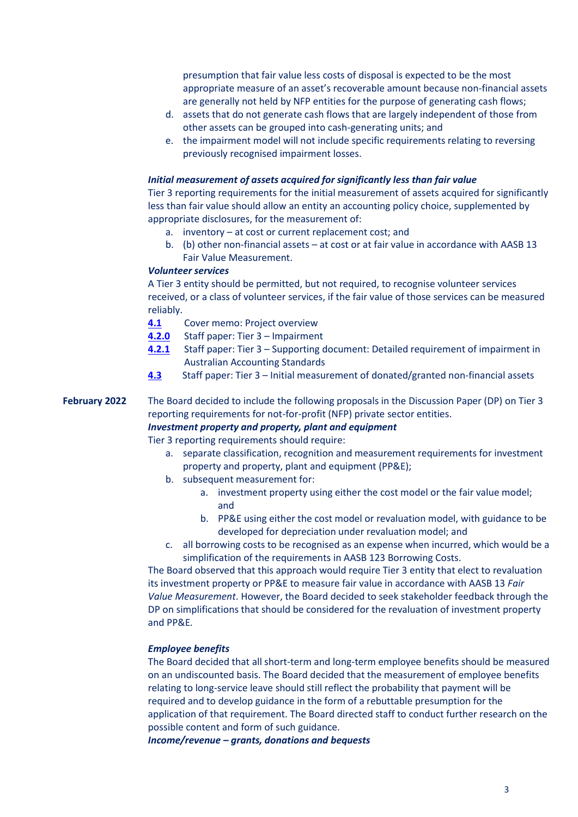presumption that fair value less costs of disposal is expected to be the most appropriate measure of an asset's recoverable amount because non-financial assets are generally not held by NFP entities for the purpose of generating cash flows;

- d. assets that do not generate cash flows that are largely independent of those from other assets can be grouped into cash-generating units; and
- e. the impairment model will not include specific requirements relating to reversing previously recognised impairment losses.

#### *Initial measurement of assets acquired for significantly less than fair value*

Tier 3 reporting requirements for the initial measurement of assets acquired for significantly less than fair value should allow an entity an accounting policy choice, supplemented by appropriate disclosures, for the measurement of:

- a. inventory at cost or current replacement cost; and
- b. (b) other non-financial assets at cost or at fair value in accordance with AASB 13 Fair Value Measurement.

### *Volunteer services*

A Tier 3 entity should be permitted, but not required, to recognise volunteer services received, or a class of volunteer services, if the fair value of those services can be measured reliably.

- **[4.1](https://www.aasb.gov.au/media/wmacglhu/04-1_sp_cm_m186_pp.pdf)** Cover memo: Project overview
- **[4.2.](https://www.aasb.gov.au/media/cy3mb1xz/04-2-0_sp_tier3_impairment_m186_pp.pdf)0** Staff paper: Tier 3 Impairment
- **[4.2.1](https://www.aasb.gov.au/media/esab1qce/04-2-1_sp_tier-3impairmentsupportingdoc_m186_sm_pp.pdf)** Staff paper: Tier 3 Supporting document: Detailed requirement of impairment in Australian Accounting Standards
- **[4.3](https://www.aasb.gov.au/media/wo0ladv5/04-3_sp_tier3revenuedonatednfa_m186_pp.pdf)** Staff paper: Tier 3 Initial measurement of donated/granted non-financial assets

### **February 2022** The Board decided to include the following proposals in the Discussion Paper (DP) on Tier 3 reporting requirements for not-for-profit (NFP) private sector entities.

#### *Investment property and property, plant and equipment*

Tier 3 reporting requirements should require:

- a. separate classification, recognition and measurement requirements for investment property and property, plant and equipment (PP&E);
- b. subsequent measurement for:
	- a. investment property using either the cost model or the fair value model; and
	- b. PP&E using either the cost model or revaluation model, with guidance to be developed for depreciation under revaluation model; and
- c. all borrowing costs to be recognised as an expense when incurred, which would be a simplification of the requirements in AASB 123 Borrowing Costs.

The Board observed that this approach would require Tier 3 entity that elect to revaluation its investment property or PP&E to measure fair value in accordance with AASB 13 *Fair Value Measurement*. However, the Board decided to seek stakeholder feedback through the DP on simplifications that should be considered for the revaluation of investment property and PP&E*.*

#### *Employee benefits*

The Board decided that all short-term and long-term employee benefits should be measured on an undiscounted basis. The Board decided that the measurement of employee benefits relating to long-service leave should still reflect the probability that payment will be required and to develop guidance in the form of a rebuttable presumption for the application of that requirement. The Board directed staff to conduct further research on the possible content and form of such guidance.

*Income/revenue – grants, donations and bequests*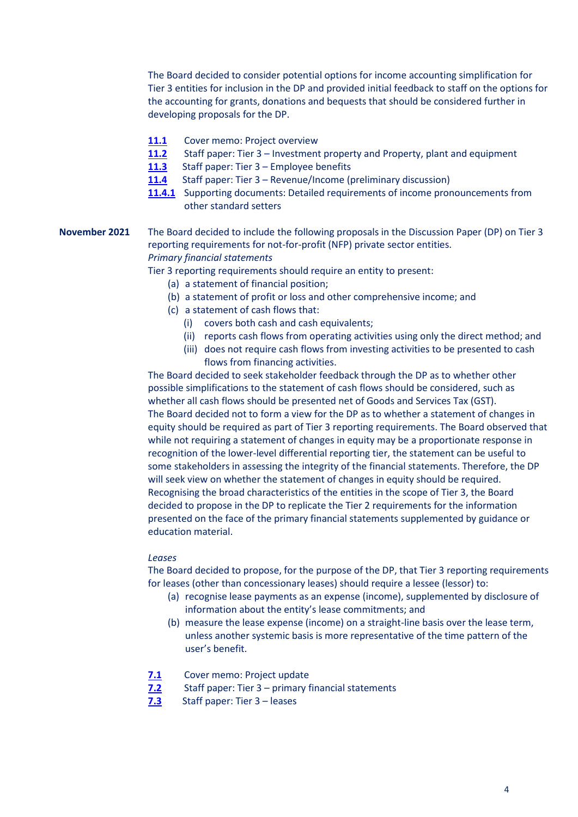The Board decided to consider potential options for income accounting simplification for Tier 3 entities for inclusion in the DP and provided initial feedback to staff on the options for the accounting for grants, donations and bequests that should be considered further in developing proposals for the DP.

- [11.1](https://aasb.gov.au/media/tuwll4gj/11-1_sp_cm_m185_pp.pdf) Cover memo: Project overview
- **[11.2](https://aasb.gov.au/media/haih540j/11-2_sp_tier3investpropertyppe_m185_pp.pdf)** Staff paper: Tier 3 Investment property and Property, plant and equipment
- **[11.3](https://aasb.gov.au/media/gsxjvuqp/11-3_sp_tier3employeebenefits_m185_pp.pdf)** Staff paper: Tier 3 Employee benefits
- **[11.4](https://aasb.gov.au/media/ol4ondoy/11-4-0_sp_tier3revenuegrants_m185_pp.pdf)** Staff paper: Tier 3 Revenue/Income (preliminary discussion)
- **[11.4.1](https://aasb.gov.au/media/lean4o4b/11-4-1_sp_tier-3revenuesupportingdoc_m185_sm.pdf)** Supporting documents: Detailed requirements of income pronouncements from other standard setters

### **November 2021** The Board decided to include the following proposals in the Discussion Paper (DP) on Tier 3 reporting requirements for not-for-profit (NFP) private sector entities. *Primary financial statements*

Tier 3 reporting requirements should require an entity to present:

- (a) a statement of financial position;
- (b) a statement of profit or loss and other comprehensive income; and
- (c) a statement of cash flows that:
	- (i) covers both cash and cash equivalents;
	- (ii) reports cash flows from operating activities using only the direct method; and
	- (iii) does not require cash flows from investing activities to be presented to cash flows from financing activities.

The Board decided to seek stakeholder feedback through the DP as to whether other possible simplifications to the statement of cash flows should be considered, such as whether all cash flows should be presented net of Goods and Services Tax (GST). The Board decided not to form a view for the DP as to whether a statement of changes in equity should be required as part of Tier 3 reporting requirements. The Board observed that while not requiring a statement of changes in equity may be a proportionate response in recognition of the lower-level differential reporting tier, the statement can be useful to some stakeholders in assessing the integrity of the financial statements. Therefore, the DP will seek view on whether the statement of changes in equity should be required. Recognising the broad characteristics of the entities in the scope of Tier 3, the Board decided to propose in the DP to replicate the Tier 2 requirements for the information presented on the face of the primary financial statements supplemented by guidance or education material.

#### *Leases*

The Board decided to propose, for the purpose of the DP, that Tier 3 reporting requirements for leases (other than concessionary leases) should require a lessee (lessor) to:

- (a) recognise lease payments as an expense (income), supplemented by disclosure of information about the entity's lease commitments; and
- (b) measure the lease expense (income) on a straight-line basis over the lease term, unless another systemic basis is more representative of the time pattern of the user's benefit.
- **[7.1](https://aasb.gov.au/media/x4eiyb3a/7-1_sp_covermemo_m184_pp.pdf)** Cover memo: Project update
- **[7.2](https://aasb.gov.au/media/f3npo4c0/7-2_sp_tier3_financial_statements_m184_pp.pdf)** Staff paper: Tier 3 primary financial statements
- **[7.3](https://aasb.gov.au/media/vzwftqgu/7-3_sp_tier3_leases_m184_pp.pdf)** Staff paper: Tier 3 leases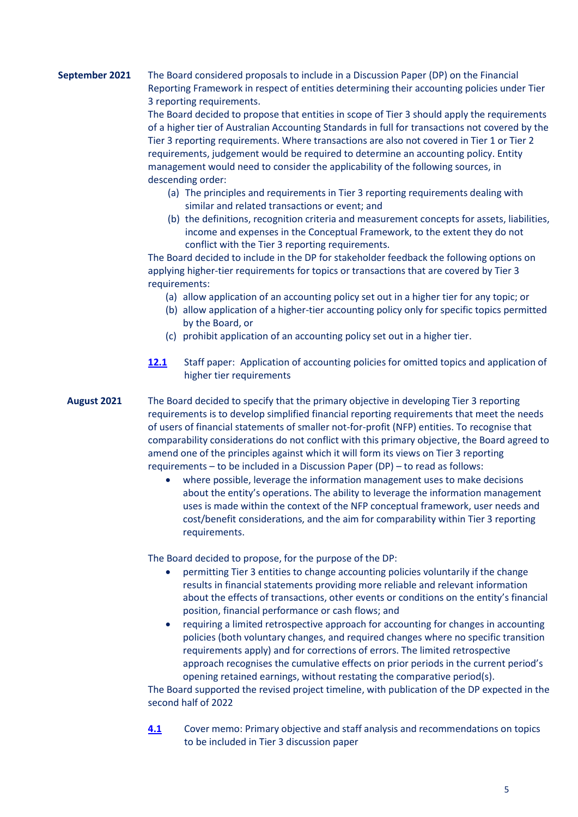### **September 2021** The Board considered proposals to include in a Discussion Paper (DP) on the Financial Reporting Framework in respect of entities determining their accounting policies under Tier 3 reporting requirements.

The Board decided to propose that entities in scope of Tier 3 should apply the requirements of a higher tier of Australian Accounting Standards in full for transactions not covered by the Tier 3 reporting requirements. Where transactions are also not covered in Tier 1 or Tier 2 requirements, judgement would be required to determine an accounting policy. Entity management would need to consider the applicability of the following sources, in descending order:

- (a) The principles and requirements in Tier 3 reporting requirements dealing with similar and related transactions or event; and
- (b) the definitions, recognition criteria and measurement concepts for assets, liabilities, income and expenses in the Conceptual Framework, to the extent they do not conflict with the Tier 3 reporting requirements.

The Board decided to include in the DP for stakeholder feedback the following options on applying higher-tier requirements for topics or transactions that are covered by Tier 3 requirements:

- (a) allow application of an accounting policy set out in a higher tier for any topic; or
- (b) allow application of a higher-tier accounting policy only for specific topics permitted by the Board, or
- (c) prohibit application of an accounting policy set out in a higher tier.
- **[12.1](https://aasb.gov.au/media/lyyb3pqy/12-1_sp_omittedtopicsclassoftransactionsapproach_m183_pp.pdf)** Staff paper: Application of accounting policies for omitted topics and application of higher tier requirements
- **August 2021** The Board decided to specify that the primary objective in developing Tier 3 reporting requirements is to develop simplified financial reporting requirements that meet the needs of users of financial statements of smaller not-for-profit (NFP) entities. To recognise that comparability considerations do not conflict with this primary objective, the Board agreed to amend one of the principles against which it will form its views on Tier 3 reporting requirements – to be included in a Discussion Paper (DP) – to read as follows:
	- where possible, leverage the information management uses to make decisions about the entity's operations. The ability to leverage the information management uses is made within the context of the NFP conceptual framework, user needs and cost/benefit considerations, and the aim for comparability within Tier 3 reporting requirements.

The Board decided to propose, for the purpose of the DP:

- permitting Tier 3 entities to change accounting policies voluntarily if the change results in financial statements providing more reliable and relevant information about the effects of transactions, other events or conditions on the entity's financial position, financial performance or cash flows; and
- requiring a limited retrospective approach for accounting for changes in accounting policies (both voluntary changes, and required changes where no specific transition requirements apply) and for corrections of errors. The limited retrospective approach recognises the cumulative effects on prior periods in the current period's opening retained earnings, without restating the comparative period(s).

The Board supported the revised project timeline, with publication of the DP expected in the second half of 2022

**[4.1](https://aasb.gov.au/media/hd0kig2j/4-1_sp_covermemo_m182_pp.pdf)** Cover memo: Primary objective and staff analysis and recommendations on topics to be included in Tier 3 discussion paper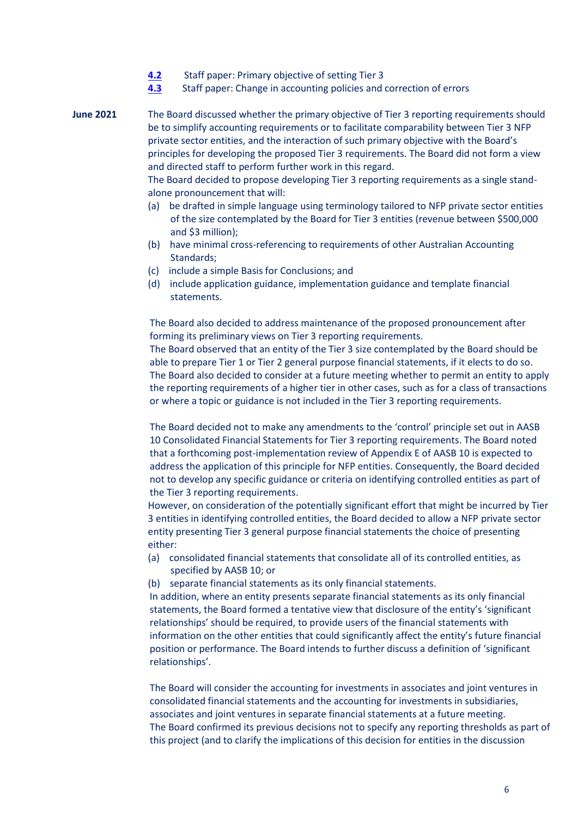- **[4.2](https://aasb.gov.au/media/3gtluize/4-2_sp_objectiveoftier3framework_m182_pp.pdf)** Staff paper: Primary objective of setting Tier 3
- **[4.3](https://aasb.gov.au/media/qvspnte4/4-3_sp_tier3changeinaccountingpolicies_m182_pp.pdf)** Staff paper: Change in accounting policies and correction of errors
- **June 2021** The Board discussed whether the primary objective of Tier 3 reporting requirements should be to simplify accounting requirements or to facilitate comparability between Tier 3 NFP private sector entities, and the interaction of such primary objective with the Board's principles for developing the proposed Tier 3 requirements. The Board did not form a view and directed staff to perform further work in this regard.

The Board decided to propose developing Tier 3 reporting requirements as a single standalone pronouncement that will:

- (a) be drafted in simple language using terminology tailored to NFP private sector entities of the size contemplated by the Board for Tier 3 entities (revenue between \$500,000 and \$3 million);
- (b) have minimal cross-referencing to requirements of other Australian Accounting Standards;
- (c) include a simple Basis for Conclusions; and
- (d) include application guidance, implementation guidance and template financial statements.

The Board also decided to address maintenance of the proposed pronouncement after forming its preliminary views on Tier 3 reporting requirements.

The Board observed that an entity of the Tier 3 size contemplated by the Board should be able to prepare Tier 1 or Tier 2 general purpose financial statements, if it elects to do so. The Board also decided to consider at a future meeting whether to permit an entity to apply the reporting requirements of a higher tier in other cases, such as for a class of transactions or where a topic or guidance is not included in the Tier 3 reporting requirements.

The Board decided not to make any amendments to the 'control' principle set out in AASB 10 Consolidated Financial Statements for Tier 3 reporting requirements. The Board noted that a forthcoming post-implementation review of Appendix E of AASB 10 is expected to address the application of this principle for NFP entities. Consequently, the Board decided not to develop any specific guidance or criteria on identifying controlled entities as part of the Tier 3 reporting requirements.

However, on consideration of the potentially significant effort that might be incurred by Tier 3 entities in identifying controlled entities, the Board decided to allow a NFP private sector entity presenting Tier 3 general purpose financial statements the choice of presenting either:

- (a) consolidated financial statements that consolidate all of its controlled entities, as specified by AASB 10; or
- (b) separate financial statements as its only financial statements.

In addition, where an entity presents separate financial statements as its only financial statements, the Board formed a tentative view that disclosure of the entity's 'significant relationships' should be required, to provide users of the financial statements with information on the other entities that could significantly affect the entity's future financial position or performance. The Board intends to further discuss a definition of 'significant relationships'.

The Board will consider the accounting for investments in associates and joint ventures in consolidated financial statements and the accounting for investments in subsidiaries, associates and joint ventures in separate financial statements at a future meeting. The Board confirmed its previous decisions not to specify any reporting thresholds as part of this project (and to clarify the implications of this decision for entities in the discussion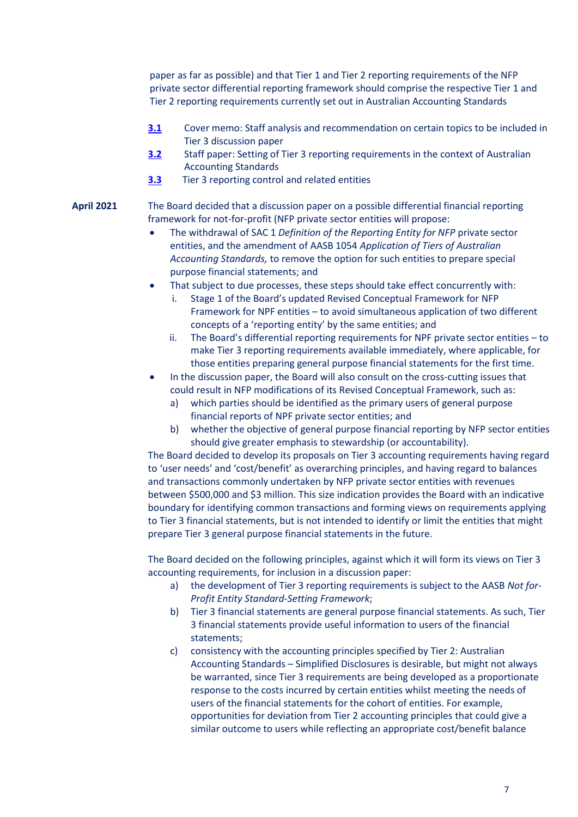paper as far as possible) and that Tier 1 and Tier 2 reporting requirements of the NFP private sector differential reporting framework should comprise the respective Tier 1 and Tier 2 reporting requirements currently set out in Australian Accounting Standards

- **[3.1](https://aasb.gov.au/media/c3an1rvo/3-1_sp_covermemo_m181_pp.pdf)** Cover memo: Staff analysis and recommendation on certain topics to be included in Tier 3 discussion paper
- **[3.2](https://aasb.gov.au/media/cl3ln254/3-2_sp_tier3settingoftier3standards_m181_pp.pdf)** Staff paper: Setting of Tier 3 reporting requirements in the context of Australian Accounting Standards
- **[3.3](https://aasb.gov.au/admin/file/content102/c3/3.3_SP_Tier3Princhttps:/aasb.gov.au/media/zgseovgz/3-3_sp_tier3reportingcontrolledandrelatedentities_m181_pp.pdfiplesForDecisionMaking_M180_PP.pdf)** Tier 3 reporting control and related entities

### **April 2021** The Board decided that a discussion paper on a possible differential financial reporting framework for not-for-profit (NFP private sector entities will propose:

- The withdrawal of SAC 1 *Definition of the Reporting Entity for NFP* private sector entities, and the amendment of AASB 1054 *Application of Tiers of Australian Accounting Standards,* to remove the option for such entities to prepare special purpose financial statements; and
- That subject to due processes, these steps should take effect concurrently with:
	- i. Stage 1 of the Board's updated Revised Conceptual Framework for NFP Framework for NPF entities – to avoid simultaneous application of two different concepts of a 'reporting entity' by the same entities; and
	- ii. The Board's differential reporting requirements for NPF private sector entities to make Tier 3 reporting requirements available immediately, where applicable, for those entities preparing general purpose financial statements for the first time.
- In the discussion paper, the Board will also consult on the cross-cutting issues that could result in NFP modifications of its Revised Conceptual Framework, such as:
	- a) which parties should be identified as the primary users of general purpose financial reports of NPF private sector entities; and
	- b) whether the objective of general purpose financial reporting by NFP sector entities should give greater emphasis to stewardship (or accountability).

The Board decided to develop its proposals on Tier 3 accounting requirements having regard to 'user needs' and 'cost/benefit' as overarching principles, and having regard to balances and transactions commonly undertaken by NFP private sector entities with revenues between \$500,000 and \$3 million. This size indication provides the Board with an indicative boundary for identifying common transactions and forming views on requirements applying to Tier 3 financial statements, but is not intended to identify or limit the entities that might prepare Tier 3 general purpose financial statements in the future.

The Board decided on the following principles, against which it will form its views on Tier 3 accounting requirements, for inclusion in a discussion paper:

- a) the development of Tier 3 reporting requirements is subject to the AASB *Not for-Profit Entity Standard-Setting Framework*;
- b) Tier 3 financial statements are general purpose financial statements. As such, Tier 3 financial statements provide useful information to users of the financial statements;
- c) consistency with the accounting principles specified by Tier 2: Australian Accounting Standards – Simplified Disclosures is desirable, but might not always be warranted, since Tier 3 requirements are being developed as a proportionate response to the costs incurred by certain entities whilst meeting the needs of users of the financial statements for the cohort of entities. For example, opportunities for deviation from Tier 2 accounting principles that could give a similar outcome to users while reflecting an appropriate cost/benefit balance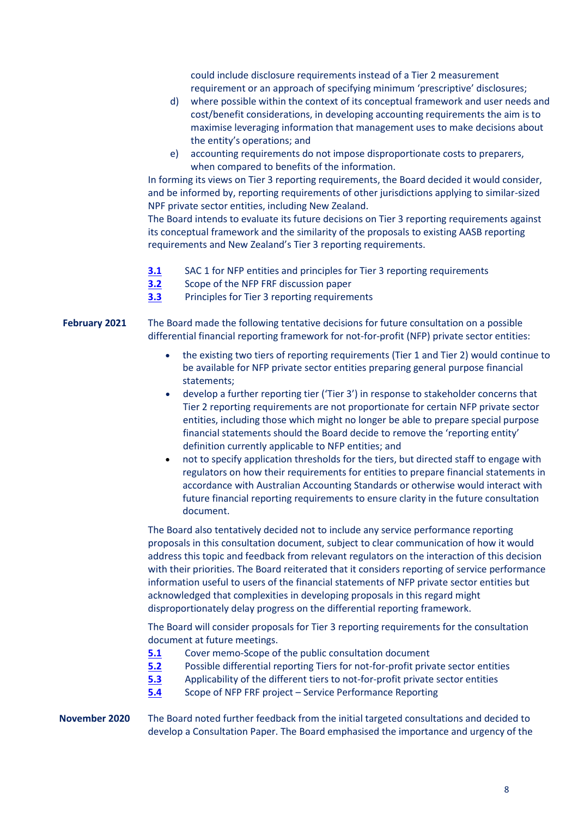could include disclosure requirements instead of a Tier 2 measurement requirement or an approach of specifying minimum 'prescriptive' disclosures;

- d) where possible within the context of its conceptual framework and user needs and cost/benefit considerations, in developing accounting requirements the aim is to maximise leveraging information that management uses to make decisions about the entity's operations; and
- e) accounting requirements do not impose disproportionate costs to preparers, when compared to benefits of the information.

In forming its views on Tier 3 reporting requirements, the Board decided it would consider, and be informed by, reporting requirements of other jurisdictions applying to similar-sized NPF private sector entities, including New Zealand.

The Board intends to evaluate its future decisions on Tier 3 reporting requirements against its conceptual framework and the similarity of the proposals to existing AASB reporting requirements and New Zealand's Tier 3 reporting requirements.

- **[3.1](https://aasb.gov.au/admin/file/content102/c3/3.1_SP_NFPFRF_M180_PP.pdf)** SAC 1 for NFP entities and principles for Tier 3 reporting requirements
- **[3.2](https://aasb.gov.au/admin/file/content102/c3/3.2_SP_SAC1_M180_PP.pdf)** Scope of the NFP FRF discussion paper
- **[3.3](https://aasb.gov.au/admin/file/content102/c3/3.3_SP_Tier3PrinciplesForDecisionMaking_M180_PP.pdf)** Principles for Tier 3 reporting requirements

**February 2021** The Board made the following tentative decisions for future consultation on a possible differential financial reporting framework for not-for-profit (NFP) private sector entities:

- the existing two tiers of reporting requirements (Tier 1 and Tier 2) would continue to be available for NFP private sector entities preparing general purpose financial statements;
- develop a further reporting tier ('Tier 3') in response to stakeholder concerns that Tier 2 reporting requirements are not proportionate for certain NFP private sector entities, including those which might no longer be able to prepare special purpose financial statements should the Board decide to remove the 'reporting entity' definition currently applicable to NFP entities; and
- not to specify application thresholds for the tiers, but directed staff to engage with regulators on how their requirements for entities to prepare financial statements in accordance with Australian Accounting Standards or otherwise would interact with future financial reporting requirements to ensure clarity in the future consultation document.

The Board also tentatively decided not to include any service performance reporting proposals in this consultation document, subject to clear communication of how it would address this topic and feedback from relevant regulators on the interaction of this decision with their priorities. The Board reiterated that it considers reporting of service performance information useful to users of the financial statements of NFP private sector entities but acknowledged that complexities in developing proposals in this regard might disproportionately delay progress on the differential reporting framework.

The Board will consider proposals for Tier 3 reporting requirements for the consultation document at future meetings.

- **[5.1](https://www.aasb.gov.au/admin/file/content102/c3/5.1_SP_CM_NFPFRF_M179_PP.pdf)** Cover memo-Scope of the public consultation document
- **[5.2](https://www.aasb.gov.au/admin/file/content102/c3/5.2_SP_PossibleDifferentialRptTiersforNFP_PSE_M179_PP.pdf)** Possible differential reporting Tiers for not-for-profit private sector entities
- **[5.3](https://www.aasb.gov.au/admin/file/content102/c3/5.3_SP_ApplicabilityDifferentTierstoNFPentitiesNFPFRF_M179_PP.pdf)** Applicability of the different tiers to not-for-profit private sector entities
- **[5.4](https://www.aasb.gov.au/admin/file/content102/c3/5.4_SP_SPRNFPFRF_M179_PP.pdf)** Scope of NFP FRF project Service Performance Reporting
- **November 2020** The Board noted further feedback from the initial targeted consultations and decided to develop a Consultation Paper. The Board emphasised the importance and urgency of the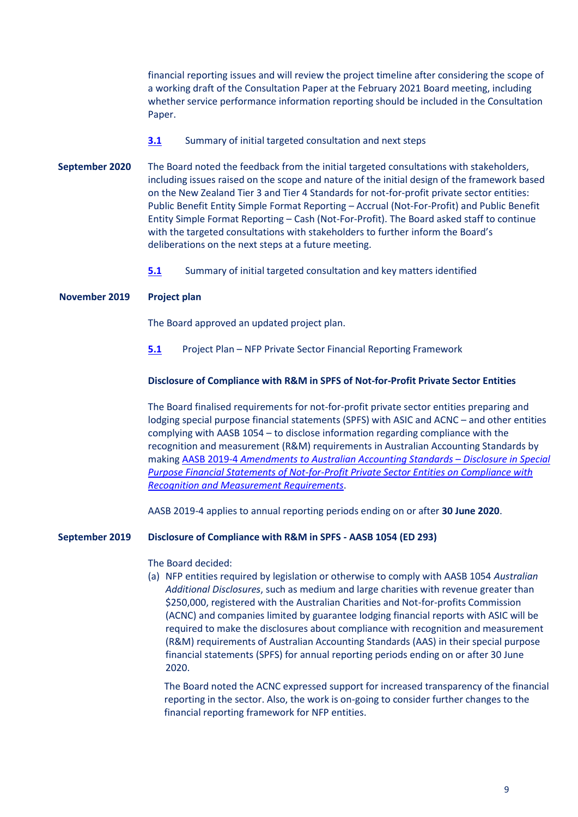financial reporting issues and will review the project timeline after considering the scope of a working draft of the Consultation Paper at the February 2021 Board meeting, including whether service performance information reporting should be included in the Consultation Paper.

- **[3.1](https://www.aasb.gov.au/admin/file/content102/c3/3.1_SP_NFPFRF_M178_PP.pdf)** Summary of initial targeted consultation and next steps
- **September 2020** The Board noted the feedback from the initial targeted consultations with stakeholders, including issues raised on the scope and nature of the initial design of the framework based on the New Zealand Tier 3 and Tier 4 Standards for not-for-profit private sector entities: Public Benefit Entity Simple Format Reporting – Accrual (Not-For-Profit) and Public Benefit Entity Simple Format Reporting – Cash (Not-For-Profit). The Board asked staff to continue with the targeted consultations with stakeholders to further inform the Board's deliberations on the next steps at a future meeting.
	- **[5.1](https://www.aasb.gov.au/admin/file/content102/c3/5.1_SP_NFPFRF_M177_PP.pdf)** Summary of initial targeted consultation and key matters identified

### **November 2019 Project plan**

The Board approved an updated project plan.

**[5.1](https://www.aasb.gov.au/admin/file/content102/c3/5.1_PP_NFP-private_M173.pdf)** Project Plan – NFP Private Sector Financial Reporting Framework

### **Disclosure of Compliance with R&M in SPFS of Not-for-Profit Private Sector Entities**

The Board finalised requirements for not-for-profit private sector entities preparing and lodging special purpose financial statements (SPFS) with ASIC and ACNC – and other entities complying with AASB 1054 – to disclose information regarding compliance with the recognition and measurement (R&M) requirements in Australian Accounting Standards by making AASB 2019-4 *[Amendments to Australian Accounting Standards](https://www.aasb.gov.au/admin/file/content105/c9/AASB2019-4_11-19.pdf) – Disclosure in Special [Purpose Financial Statements of Not-for-Profit Private Sector Entities on Compliance with](https://www.aasb.gov.au/admin/file/content105/c9/AASB2019-4_11-19.pdf)  [Recognition and Measurement Requirements](https://www.aasb.gov.au/admin/file/content105/c9/AASB2019-4_11-19.pdf)*.

AASB 2019-4 applies to annual reporting periods ending on or after **30 June 2020**.

#### **September 2019 Disclosure of Compliance with R&M in SPFS - AASB 1054 (ED 293)**

#### The Board decided:

(a) NFP entities required by legislation or otherwise to comply with AASB 1054 *Australian Additional Disclosures*, such as medium and large charities with revenue greater than \$250,000, registered with the Australian Charities and Not-for-profits Commission (ACNC) and companies limited by guarantee lodging financial reports with ASIC will be required to make the disclosures about compliance with recognition and measurement (R&M) requirements of Australian Accounting Standards (AAS) in their special purpose financial statements (SPFS) for annual reporting periods ending on or after 30 June 2020.

The Board noted the ACNC expressed support for increased transparency of the financial reporting in the sector. Also, the work is on-going to consider further changes to the financial reporting framework for NFP entities.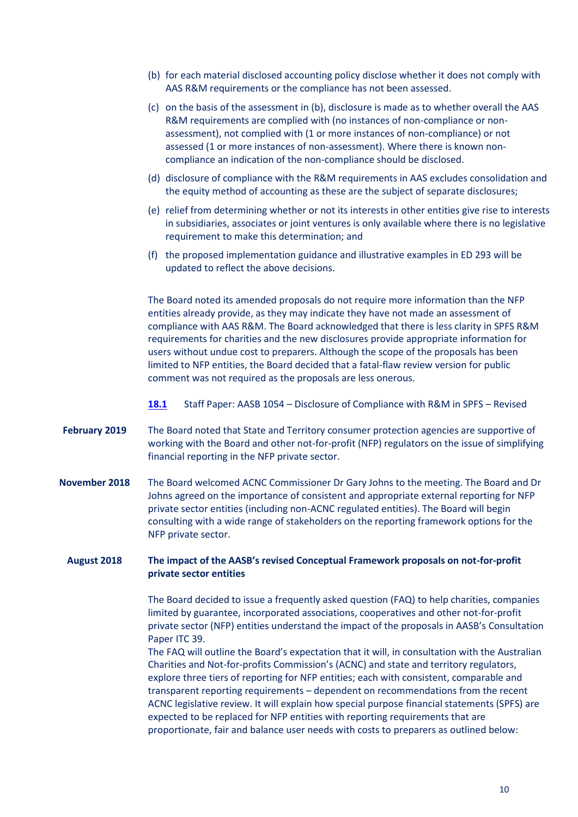- (b) for each material disclosed accounting policy disclose whether it does not comply with AAS R&M requirements or the compliance has not been assessed.
- (c) on the basis of the assessment in (b), disclosure is made as to whether overall the AAS R&M requirements are complied with (no instances of non-compliance or nonassessment), not complied with (1 or more instances of non-compliance) or not assessed (1 or more instances of non-assessment). Where there is known noncompliance an indication of the non-compliance should be disclosed.
- (d) disclosure of compliance with the R&M requirements in AAS excludes consolidation and the equity method of accounting as these are the subject of separate disclosures;
- (e) relief from determining whether or not its interests in other entities give rise to interests in subsidiaries, associates or joint ventures is only available where there is no legislative requirement to make this determination; and
- (f) the proposed implementation guidance and illustrative examples in ED 293 will be updated to reflect the above decisions.

The Board noted its amended proposals do not require more information than the NFP entities already provide, as they may indicate they have not made an assessment of compliance with AAS R&M. The Board acknowledged that there is less clarity in SPFS R&M requirements for charities and the new disclosures provide appropriate information for users without undue cost to preparers. Although the scope of the proposals has been limited to NFP entities, the Board decided that a fatal-flaw review version for public comment was not required as the proposals are less onerous.

- **[18.1](https://aasb.gov.au/admin/file/content102/c3/18.1_SP_ED293Submissions_M172_REVISED.pdf)** Staff Paper: AASB 1054 Disclosure of Compliance with R&M in SPFS Revised
- **February 2019** The Board noted that State and Territory consumer protection agencies are supportive of working with the Board and other not-for-profit (NFP) regulators on the issue of simplifying financial reporting in the NFP private sector.
- **November 2018** The Board welcomed ACNC Commissioner Dr Gary Johns to the meeting. The Board and Dr Johns agreed on the importance of consistent and appropriate external reporting for NFP private sector entities (including non-ACNC regulated entities). The Board will begin consulting with a wide range of stakeholders on the reporting framework options for the NFP private sector.

#### **August 2018 The impact of the AASB's revised Conceptual Framework proposals on not-for-profit private sector entities**

The Board decided to issue a frequently asked question (FAQ) to help charities, companies limited by guarantee, incorporated associations, cooperatives and other not-for-profit private sector (NFP) entities understand the impact of the proposals in AASB's Consultation Paper ITC 39.

The FAQ will outline the Board's expectation that it will, in consultation with the Australian Charities and Not-for-profits Commission's (ACNC) and state and territory regulators, explore three tiers of reporting for NFP entities; each with consistent, comparable and transparent reporting requirements – dependent on recommendations from the recent ACNC legislative review. It will explain how special purpose financial statements (SPFS) are expected to be replaced for NFP entities with reporting requirements that are proportionate, fair and balance user needs with costs to preparers as outlined below: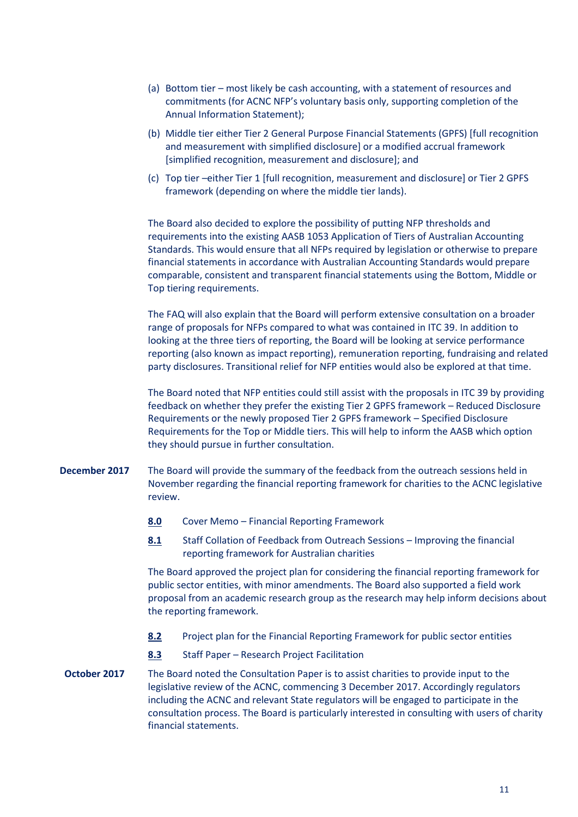- (a) Bottom tier most likely be cash accounting, with a statement of resources and commitments (for ACNC NFP's voluntary basis only, supporting completion of the Annual Information Statement);
- (b) Middle tier either Tier 2 General Purpose Financial Statements (GPFS) [full recognition and measurement with simplified disclosure] or a modified accrual framework [simplified recognition, measurement and disclosure]; and
- (c) Top tier –either Tier 1 [full recognition, measurement and disclosure] or Tier 2 GPFS framework (depending on where the middle tier lands).

The Board also decided to explore the possibility of putting NFP thresholds and requirements into the existing AASB 1053 Application of Tiers of Australian Accounting Standards. This would ensure that all NFPs required by legislation or otherwise to prepare financial statements in accordance with Australian Accounting Standards would prepare comparable, consistent and transparent financial statements using the Bottom, Middle or Top tiering requirements.

The FAQ will also explain that the Board will perform extensive consultation on a broader range of proposals for NFPs compared to what was contained in ITC 39. In addition to looking at the three tiers of reporting, the Board will be looking at service performance reporting (also known as impact reporting), remuneration reporting, fundraising and related party disclosures. Transitional relief for NFP entities would also be explored at that time.

The Board noted that NFP entities could still assist with the proposals in ITC 39 by providing feedback on whether they prefer the existing Tier 2 GPFS framework – Reduced Disclosure Requirements or the newly proposed Tier 2 GPFS framework – Specified Disclosure Requirements for the Top or Middle tiers. This will help to inform the AASB which option they should pursue in further consultation.

- **December 2017** The Board will provide the summary of the feedback from the outreach sessions held in November regarding the financial reporting framework for charities to the ACNC legislative review.
	- **[8.0](http://www.aasb.gov.au/admin/file/content102/c3/8.0_Reporting_Framework_M161.pdf)** Cover Memo Financial Reporting Framework
	- **[8.1](http://www.aasb.gov.au/admin/file/content102/c3/8.1_Collation_NFP_Outreach_2017_M161.pdf)** Staff Collation of Feedback from Outreach Sessions Improving the financial reporting framework for Australian charities

The Board approved the project plan for considering the financial reporting framework for public sector entities, with minor amendments. The Board also supported a field work proposal from an academic research group as the research may help inform decisions about the reporting framework.

- **[8.2](http://www.aasb.gov.au/admin/file/content102/c3/8.2_Project_Plan_PSReporting_M161.pdf)** Project plan for the Financial Reporting Framework for public sector entities
- **[8.3](http://www.aasb.gov.au/admin/file/content102/c3/8.3_Research_Project_Facilitation_M161.pdf)** Staff Paper Research Project Facilitation
- **October 2017** The Board noted the Consultation Paper is to assist charities to provide input to the legislative review of the ACNC, commencing 3 December 2017. Accordingly regulators including the ACNC and relevant State regulators will be engaged to participate in the consultation process. The Board is particularly interested in consulting with users of charity financial statements.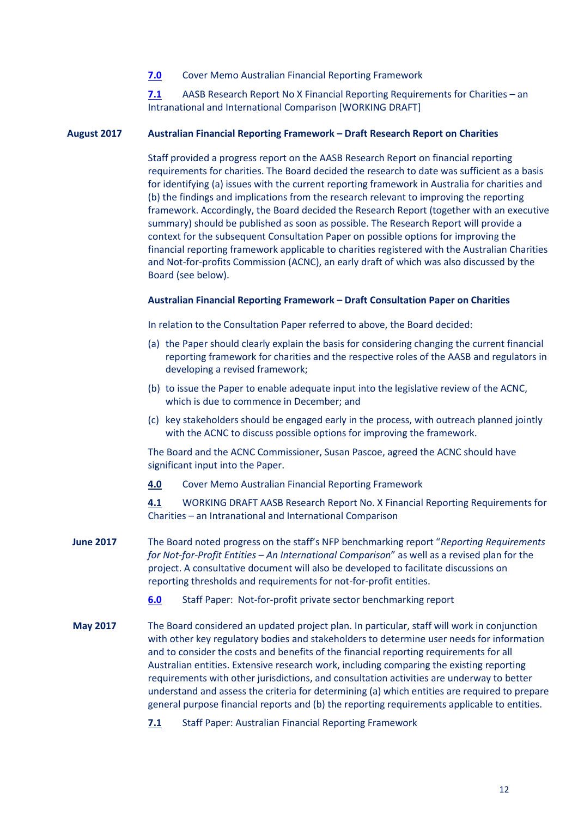#### **[7.0](http://www.aasb.gov.au/admin/file/content102/c3/7.0_Reporting_Framework_Memo_M160.pdf)** Cover Memo Australian Financial Reporting Framework

**[7.1](http://www.aasb.gov.au/admin/file/content102/c3/7.1_AASB_Research_Report_No.X_Financial_Reporting_Requirements_for_Charities.pdf)** AASB Research Report No X Financial Reporting Requirements for Charities – an Intranational and International Comparison [WORKING DRAFT]

#### **August 2017 Australian Financial Reporting Framework – Draft Research Report on Charities**

Staff provided a progress report on the AASB Research Report on financial reporting requirements for charities. The Board decided the research to date was sufficient as a basis for identifying (a) issues with the current reporting framework in Australia for charities and (b) the findings and implications from the research relevant to improving the reporting framework. Accordingly, the Board decided the Research Report (together with an executive summary) should be published as soon as possible. The Research Report will provide a context for the subsequent Consultation Paper on possible options for improving the financial reporting framework applicable to charities registered with the Australian Charities and Not-for-profits Commission (ACNC), an early draft of which was also discussed by the Board (see below).

#### **Australian Financial Reporting Framework – Draft Consultation Paper on Charities**

In relation to the Consultation Paper referred to above, the Board decided:

- (a) the Paper should clearly explain the basis for considering changing the current financial reporting framework for charities and the respective roles of the AASB and regulators in developing a revised framework;
- (b) to issue the Paper to enable adequate input into the legislative review of the ACNC, which is due to commence in December; and
- (c) key stakeholders should be engaged early in the process, with outreach planned jointly with the ACNC to discuss possible options for improving the framework.

The Board and the ACNC Commissioner, Susan Pascoe, agreed the ACNC should have significant input into the Paper.

**[4.0](http://www.aasb.gov.au/admin/file/content102/c3/4.0_Cover_Memo_Australian_Financial_Reporting_Framework_M159_.pdf)** Cover Memo Australian Financial Reporting Framework

**[4.1](http://www.aasb.gov.au/admin/file/content102/c3/4.1_WDAASBRRX_XX-17_Fin_Rep_Reqs_for_Charities_M159.pdf)** WORKING DRAFT AASB Research Report No. X Financial Reporting Requirements for Charities – an Intranational and International Comparison

- **June 2017** The Board noted progress on the staff's NFP benchmarking report "*Reporting Requirements for Not-for-Profit Entities – An International Comparison*" as well as a revised plan for the project. A consultative document will also be developed to facilitate discussions on reporting thresholds and requirements for not-for-profit entities.
	- **[6.0](http://www.aasb.gov.au/admin/file/content102/c3/6.0_Staff_Paper_NFP_private_sector_benchmarking_report_M158.pdf)** Staff Paper: Not-for-profit private sector benchmarking report
- **May 2017** The Board considered an updated project plan. In particular, staff will work in conjunction with other key regulatory bodies and stakeholders to determine user needs for information and to consider the costs and benefits of the financial reporting requirements for all Australian entities. Extensive research work, including comparing the existing reporting requirements with other jurisdictions, and consultation activities are underway to better understand and assess the criteria for determining (a) which entities are required to prepare general purpose financial reports and (b) the reporting requirements applicable to entities.
	- **[7.1](http://www.aasb.gov.au/admin/file/content102/c3/7.1_Reporting%20Framework_M157.pdf)** Staff Paper: Australian Financial Reporting Framework